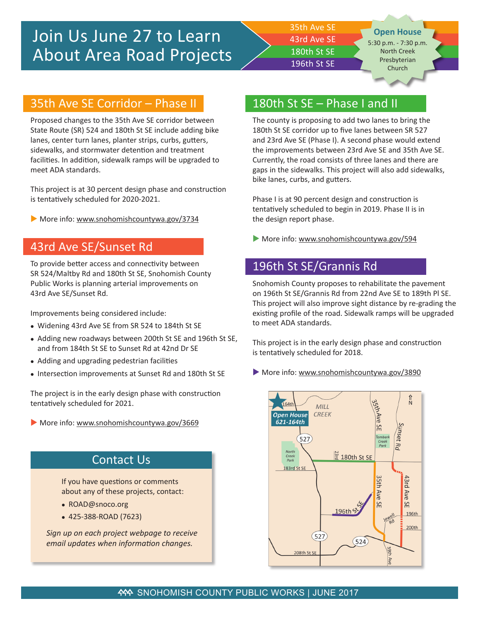35th Ave SE 43rd Ave SE 180th St SE 196th St SE

**Open House** 5:30 p.m. - 7:30 p.m.

North Creek Presbyterian Church

#### 35th Ave SE Corridor – Phase II

Proposed changes to the 35th Ave SE corridor between State Route (SR) 524 and 180th St SE include adding bike lanes, center turn lanes, planter strips, curbs, gutters, sidewalks, and stormwater detention and treatment facilities. In addition, sidewalk ramps will be upgraded to meet ADA standards.

This project is at 30 percent design phase and construction is tentatively scheduled for 2020-2021.

More info: www.snohomishcountywa.gov/3734

#### 43rd Ave SE/Sunset Rd

To provide better access and connectivity between SR 524/Maltby Rd and 180th St SE, Snohomish County Public Works is planning arterial improvements on 43rd Ave SE/Sunset Rd.

Improvements being considered include:

- Widening 43rd Ave SE from SR 524 to 184th St SE
- Adding new roadways between 200th St SE and 196th St SE, and from 184th St SE to Sunset Rd at 42nd Dr SE
- Adding and upgrading pedestrian facilities
- Intersection improvements at Sunset Rd and 180th St SE

The project is in the early design phase with construction tentatively scheduled for 2021.

 $\blacktriangleright$  More info: www.snohomishcountywa.gov/3669

### Contact Us

If you have questions or comments about any of these projects, contact:

- ROAD@snoco.org
- 425-388-ROAD (7623)

*Sign up on each project webpage to receive email updates when information changes.*

#### 180th St SE – Phase I and II

The county is proposing to add two lanes to bring the 180th St SE corridor up to five lanes between SR 527 and 23rd Ave SE (Phase I). A second phase would extend the improvements between 23rd Ave SE and 35th Ave SE. Currently, the road consists of three lanes and there are gaps in the sidewalks. This project will also add sidewalks, bike lanes, curbs, and gutters.

Phase I is at 90 percent design and construction is tentatively scheduled to begin in 2019. Phase II is in the design report phase.

 $\blacktriangleright$  More info: www.snohomishcountywa.gov/594

## 196th St SE/Grannis Rd

Snohomish County proposes to rehabilitate the pavement on 196th St SE/Grannis Rd from 22nd Ave SE to 189th Pl SE. This project will also improve sight distance by re-grading the existing profile of the road. Sidewalk ramps will be upgraded to meet ADA standards.

This project is in the early design phase and construction is tentatively scheduled for 2018.

More info: www.snohomishcountywa.gov/3890